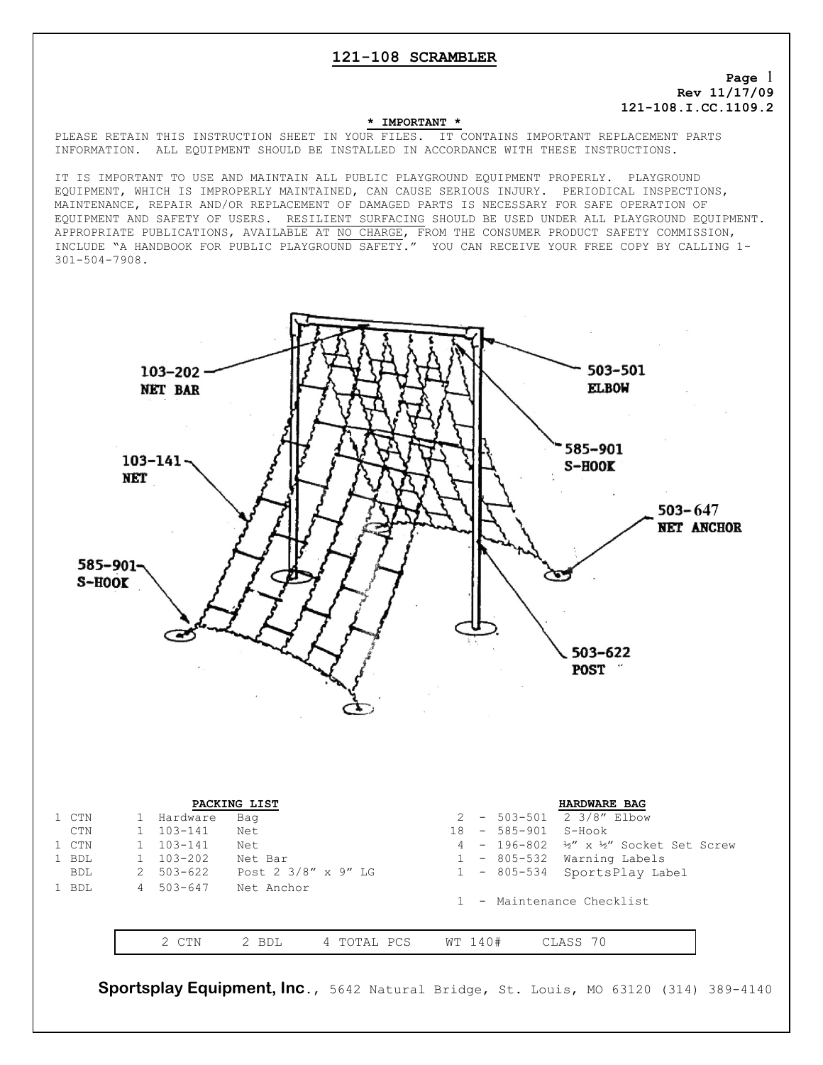## **121-108 SCRAMBLER**

**Page** 1 **Rev 11/17/09 121-108.I.CC.1109.2**

#### **\* IMPORTANT \***

PLEASE RETAIN THIS INSTRUCTION SHEET IN YOUR FILES. IT CONTAINS IMPORTANT REPLACEMENT PARTS INFORMATION. ALL EQUIPMENT SHOULD BE INSTALLED IN ACCORDANCE WITH THESE INSTRUCTIONS.

IT IS IMPORTANT TO USE AND MAINTAIN ALL PUBLIC PLAYGROUND EQUIPMENT PROPERLY. PLAYGROUND EQUIPMENT, WHICH IS IMPROPERLY MAINTAINED, CAN CAUSE SERIOUS INJURY. PERIODICAL INSPECTIONS, MAINTENANCE, REPAIR AND/OR REPLACEMENT OF DAMAGED PARTS IS NECESSARY FOR SAFE OPERATION OF EQUIPMENT AND SAFETY OF USERS. RESILIENT SURFACING SHOULD BE USED UNDER ALL PLAYGROUND EQUIPMENT. APPROPRIATE PUBLICATIONS, AVAILABLE AT NO CHARGE, FROM THE CONSUMER PRODUCT SAFETY COMMISSION, INCLUDE "A HANDBOOK FOR PUBLIC PLAYGROUND SAFETY." YOU CAN RECEIVE YOUR FREE COPY BY CALLING 1- 301-504-7908.



| PACKING LIST |            |  |                    |                     |           |         | <b>HARDWARE BAG</b>     |                     |                                                            |  |
|--------------|------------|--|--------------------|---------------------|-----------|---------|-------------------------|---------------------|------------------------------------------------------------|--|
|              | 1 CTN      |  | Hardware           | Bag                 |           |         |                         |                     | $-503-501$ 2 3/8" Elbow                                    |  |
|              | CTN        |  | $103 - 141$        | Net                 |           |         |                         | 18 - 585-901 S-Hook |                                                            |  |
|              | 1 CTN      |  | $103 - 141$        | Net                 |           |         |                         |                     | 4 - 196-802 $\frac{1}{2}$ x $\frac{1}{2}$ Socket Set Screw |  |
|              | 1 BDL      |  | $103 - 202$        | Net Bar             |           |         |                         |                     | 1 - 805-532 Warning Labels                                 |  |
|              | <b>BDL</b> |  | $2\quad 503 - 622$ | Post 2 3/8" x 9" LG |           |         |                         |                     | 1 - 805-534 SportsPlay Label                               |  |
|              | 1 BDL      |  | 4 503-647          | Net Anchor          |           |         |                         |                     |                                                            |  |
|              |            |  |                    |                     |           |         | - Maintenance Checklist |                     |                                                            |  |
|              |            |  |                    |                     |           |         |                         |                     |                                                            |  |
|              |            |  |                    |                     |           |         |                         |                     |                                                            |  |
|              |            |  | <b>CTN</b>         | 2 BDL               | TOTAL PCS | WT 140# |                         |                     | CLASS 70                                                   |  |

**Sportsplay Equipment, Inc**., 5642 Natural Bridge, St. Louis, MO 63120 (314) 389-4140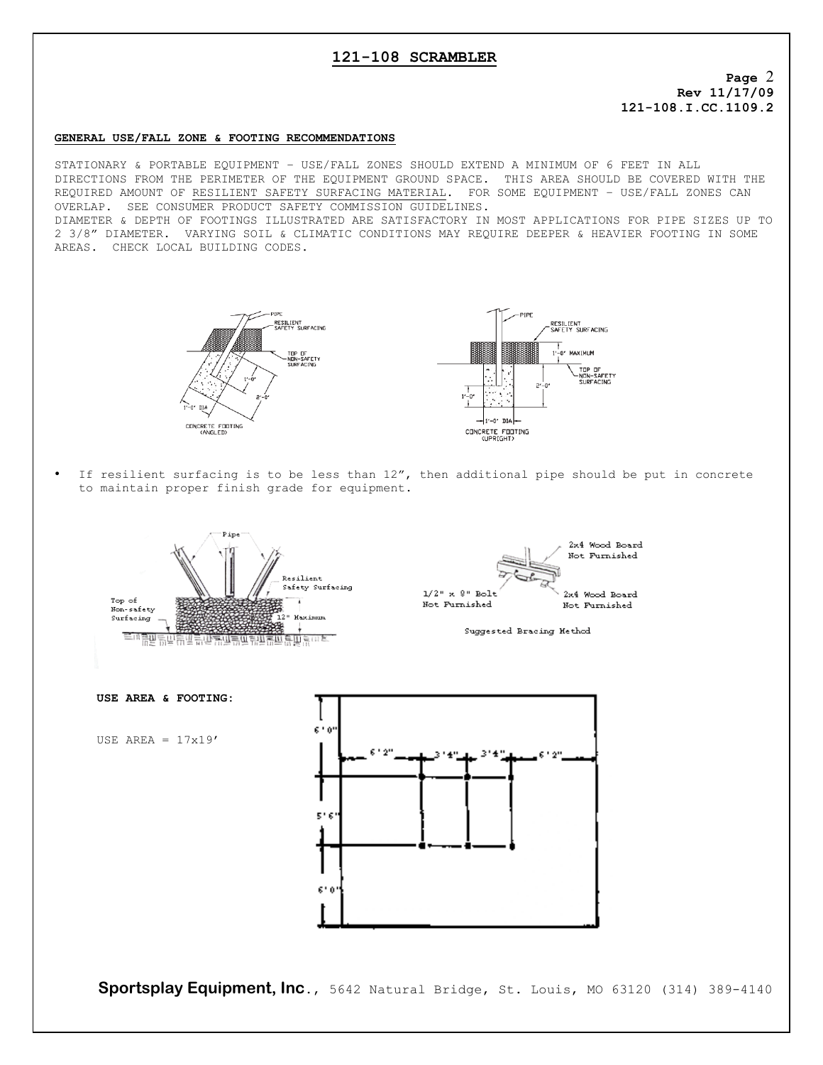# **121-108 SCRAMBLER**

**Page** 2 **Rev 11/17/09 121-108.I.CC.1109.2**

### **GENERAL USE/FALL ZONE & FOOTING RECOMMENDATIONS**

STATIONARY & PORTABLE EQUIPMENT – USE/FALL ZONES SHOULD EXTEND A MINIMUM OF 6 FEET IN ALL DIRECTIONS FROM THE PERIMETER OF THE EQUIPMENT GROUND SPACE. THIS AREA SHOULD BE COVERED WITH THE REQUIRED AMOUNT OF RESILIENT SAFETY SURFACING MATERIAL. FOR SOME EQUIPMENT – USE/FALL ZONES CAN OVERLAP. SEE CONSUMER PRODUCT SAFETY COMMISSION GUIDELINES.

DIAMETER & DEPTH OF FOOTINGS ILLUSTRATED ARE SATISFACTORY IN MOST APPLICATIONS FOR PIPE SIZES UP TO 2 3/8" DIAMETER. VARYING SOIL & CLIMATIC CONDITIONS MAY REQUIRE DEEPER & HEAVIER FOOTING IN SOME AREAS. CHECK LOCAL BUILDING CODES.





If resilient surfacing is to be less than  $12''$ , then additional pipe should be put in concrete to maintain proper finish grade for equipment.



**Sportsplay Equipment, Inc**., 5642 Natural Bridge, St. Louis, MO 63120 (314) 389-4140